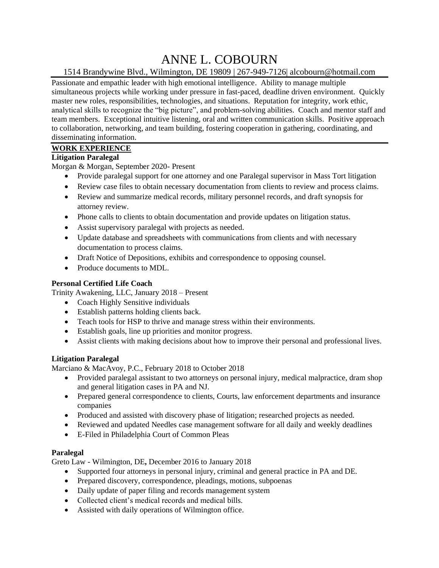# ANNE L. COBOURN

# 1514 Brandywine Blvd., Wilmington, DE 19809 | 267-949-7126| [alcobourn@hotmail.com](mailto:alcobourn@hotmail.com)

Passionate and empathic leader with high emotional intelligence. Ability to manage multiple simultaneous projects while working under pressure in fast-paced, deadline driven environment. Quickly master new roles, responsibilities, technologies, and situations. Reputation for integrity, work ethic, analytical skills to recognize the "big picture", and problem-solving abilities. Coach and mentor staff and team members. Exceptional intuitive listening, oral and written communication skills. Positive approach to collaboration, networking, and team building, fostering cooperation in gathering, coordinating, and disseminating information.

## **WORK EXPERIENCE**

## **Litigation Paralegal**

Morgan & Morgan, September 2020- Present

- Provide paralegal support for one attorney and one Paralegal supervisor in Mass Tort litigation
- Review case files to obtain necessary documentation from clients to review and process claims.
- Review and summarize medical records, military personnel records, and draft synopsis for attorney review.
- Phone calls to clients to obtain documentation and provide updates on litigation status.
- Assist supervisory paralegal with projects as needed.
- Update database and spreadsheets with communications from clients and with necessary documentation to process claims.
- Draft Notice of Depositions, exhibits and correspondence to opposing counsel.
- Produce documents to MDL.

## **Personal Certified Life Coach**

Trinity Awakening, LLC, January 2018 – Present

- Coach Highly Sensitive individuals
- Establish patterns holding clients back.
- Teach tools for HSP to thrive and manage stress within their environments.
- Establish goals, line up priorities and monitor progress.
- Assist clients with making decisions about how to improve their personal and professional lives.

## **Litigation Paralegal**

Marciano & MacAvoy, P.C., February 2018 to October 2018

- Provided paralegal assistant to two attorneys on personal injury, medical malpractice, dram shop and general litigation cases in PA and NJ.
- Prepared general correspondence to clients, Courts, law enforcement departments and insurance companies
- Produced and assisted with discovery phase of litigation; researched projects as needed.
- Reviewed and updated Needles case management software for all daily and weekly deadlines
- E-Filed in Philadelphia Court of Common Pleas

## **Paralegal**

Greto Law - Wilmington, DE**,** December 2016 to January 2018

- Supported four attorneys in personal injury, criminal and general practice in PA and DE.
- Prepared discovery, correspondence, pleadings, motions, subpoenas
- Daily update of paper filing and records management system
- Collected client's medical records and medical bills.
- Assisted with daily operations of Wilmington office.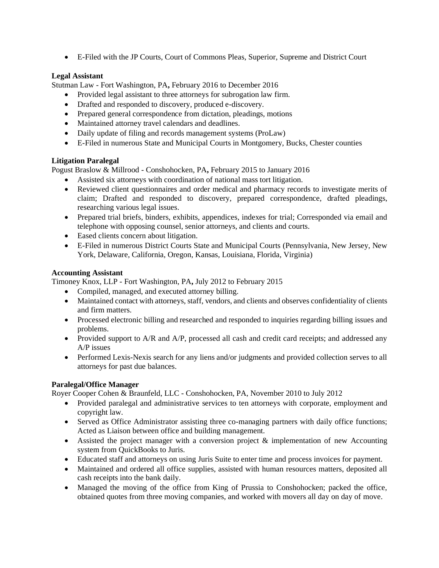• E-Filed with the JP Courts, Court of Commons Pleas, Superior, Supreme and District Court

## **Legal Assistant**

Stutman Law - Fort Washington, PA**,** February 2016 to December 2016

- Provided legal assistant to three attorneys for subrogation law firm.
- Drafted and responded to discovery, produced e-discovery.
- Prepared general correspondence from dictation, pleadings, motions
- Maintained attorney travel calendars and deadlines.
- Daily update of filing and records management systems (ProLaw)
- E-Filed in numerous State and Municipal Courts in Montgomery, Bucks, Chester counties

## **Litigation Paralegal**

Pogust Braslow & Millrood - Conshohocken, PA**,** February 2015 to January 2016

- Assisted six attorneys with coordination of national mass tort litigation.
- Reviewed client questionnaires and order medical and pharmacy records to investigate merits of claim; Drafted and responded to discovery, prepared correspondence, drafted pleadings, researching various legal issues.
- Prepared trial briefs, binders, exhibits, appendices, indexes for trial; Corresponded via email and telephone with opposing counsel, senior attorneys, and clients and courts.
- Eased clients concern about litigation.
- E-Filed in numerous District Courts State and Municipal Courts (Pennsylvania, New Jersey, New York, Delaware, California, Oregon, Kansas, Louisiana, Florida, Virginia)

#### **Accounting Assistant**

Timoney Knox, LLP - Fort Washington, PA**,** July 2012 to February 2015

- Compiled, managed, and executed attorney billing.
- Maintained contact with attorneys, staff, vendors, and clients and observes confidentiality of clients and firm matters.
- Processed electronic billing and researched and responded to inquiries regarding billing issues and problems.
- Provided support to A/R and A/P, processed all cash and credit card receipts; and addressed any A/P issues
- Performed Lexis-Nexis search for any liens and/or judgments and provided collection serves to all attorneys for past due balances.

## **Paralegal/Office Manager**

Royer Cooper Cohen & Braunfeld, LLC - Conshohocken, PA, November 2010 to July 2012

- Provided paralegal and administrative services to ten attorneys with corporate, employment and copyright law.
- Served as Office Administrator assisting three co-managing partners with daily office functions; Acted as Liaison between office and building management.
- Assisted the project manager with a conversion project & implementation of new Accounting system from QuickBooks to Juris.
- Educated staff and attorneys on using Juris Suite to enter time and process invoices for payment.
- Maintained and ordered all office supplies, assisted with human resources matters, deposited all cash receipts into the bank daily.
- Managed the moving of the office from King of Prussia to Conshohocken; packed the office, obtained quotes from three moving companies, and worked with movers all day on day of move.